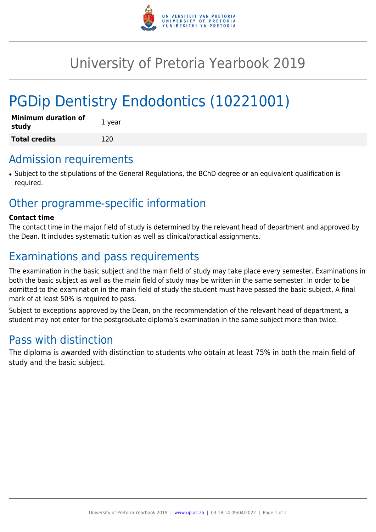

## University of Pretoria Yearbook 2019

# PGDip Dentistry Endodontics (10221001)

| <b>Minimum duration of</b><br>study | 1 year |
|-------------------------------------|--------|
| <b>Total credits</b>                | 120    |

#### Admission requirements

● Subject to the stipulations of the General Regulations, the BChD degree or an equivalent qualification is required.

### Other programme-specific information

#### **Contact time**

The contact time in the major field of study is determined by the relevant head of department and approved by the Dean. It includes systematic tuition as well as clinical/practical assignments.

## Examinations and pass requirements

The examination in the basic subject and the main field of study may take place every semester. Examinations in both the basic subject as well as the main field of study may be written in the same semester. In order to be admitted to the examination in the main field of study the student must have passed the basic subject. A final mark of at least 50% is required to pass.

Subject to exceptions approved by the Dean, on the recommendation of the relevant head of department, a student may not enter for the postgraduate diploma's examination in the same subject more than twice.

## Pass with distinction

The diploma is awarded with distinction to students who obtain at least 75% in both the main field of study and the basic subject.